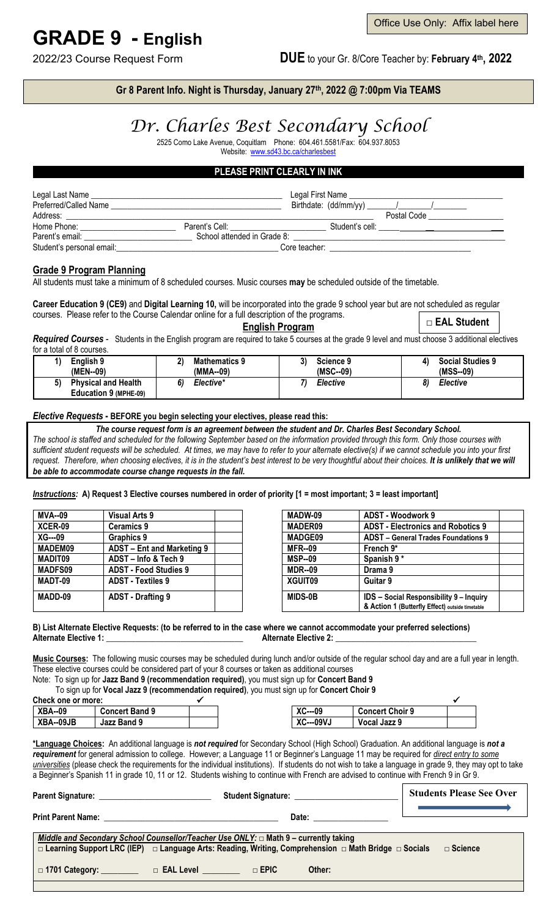# **GRADE 9 - English**

2022/23 Course Request Form **DUE** to your Gr. 8/Core Teacher by: **February 4th, 2022**

### **Gr 8 Parent Info. Night is Thursday, January 27th, 2022 @ 7:00pm Via TEAMS**

## *Dr. Charles Best Secondary School*

2525 Como Lake Avenue, Coquitlam Phone: 604.461.5581/Fax: 604.937.8053 Website: [www.sd43.bc.ca/charlesbest](http://www.sd43.bc.ca/charlesbest)

#### **PLEASE PRINT CLEARLY IN INK**

| Legal Last Name<br>Preferred/Called Name |                                    | Legal First Name |             |
|------------------------------------------|------------------------------------|------------------|-------------|
| Address:                                 |                                    |                  | Postal Code |
| Home Phone:                              | Parent's Cell: <b>Example 2019</b> | Student's cell:  |             |
| Parent's email:                          | School attended in Grade 8:        |                  |             |
| Student's personal email:                |                                    | Core teacher:    |             |

#### **Grade 9 Program Planning**

All students must take a minimum of 8 scheduled courses. Music courses **may** be scheduled outside of the timetable.

**Career Education 9 (CE9)** and **Digital Learning 10,** will be incorporated into the grade 9 school year but are not scheduled as regular courses. Please refer to the Course Calendar online for a full description of the programs. □ **EAL Student**

**English Program**

*Required Courses* - Students in the English program are required to take 5 courses at the grade 9 level and must choose 3 additional electives for a total of 8 courses.

| English 9                  | יי                   | າ\         | <b>Social Studies 9</b> |
|----------------------------|----------------------|------------|-------------------------|
|                            | <b>Mathematics 9</b> | Science 9  | 4)                      |
| (MEN--09)                  | (MMA--09)            | $(MSC-09)$ | (MSS--09)               |
| 5)                         | 61                   | Elective   | Elective                |
| <b>Physical and Health</b> | Elective*            |            | 8)                      |
| Education 9 (MPHE-09)      |                      |            |                         |

#### *Elective Requests* **- BEFORE you begin selecting your electives, please read this:**

*The course request form is an agreement between the student and Dr. Charles Best Secondary School. The school is staffed and scheduled for the following September based on the information provided through this form. Only those courses with sufficient student requests will be scheduled. At times, we may have to refer to your alternate elective(s) if we cannot schedule you into your first*  request. Therefore, when choosing electives, it is in the student's best interest to be very thoughtful about their choices. It is unlikely that we will *be able to accommodate course change requests in the fall.*

*Instructions:* **A) Request 3 Elective courses numbered in order of priority [1 = most important; 3 = least important]**

| <b>MVA--09</b> | <b>Visual Arts 9</b>         | MADW-09        | ADST - Woodwork 9                               |  |
|----------------|------------------------------|----------------|-------------------------------------------------|--|
| XCER-09        | <b>Ceramics 9</b>            | <b>MADER09</b> | <b>ADST - Electronics and Robotics 9</b>        |  |
| $XG---09$      | Graphics 9                   | <b>MADGE09</b> | <b>ADST</b> – General Trades Foundations 9      |  |
| MADEM09        | ADST - Ent and Marketing 9   | <b>MFR--09</b> | French 9*                                       |  |
| MADIT09        | ADST - Info & Tech 9         | <b>MSP--09</b> | Spanish 9*                                      |  |
| <b>MADFS09</b> | <b>ADST - Food Studies 9</b> | <b>MDR--09</b> | Drama 9                                         |  |
| MADT-09        | <b>ADST - Textiles 9</b>     | XGUIT09        | Guitar 9                                        |  |
| MADD-09        | ADST - Drafting 9            | <b>MIDS-0B</b> | <b>IDS</b> - Social Responsibility 9 - Inquiry  |  |
|                |                              |                | & Action 1 (Butterfly Effect) outside timetable |  |

#### **B) List Alternate Elective Requests: (to be referred to in the case where we cannot accommodate your preferred selections) Alternate Elective 1:** \_\_\_\_\_\_\_\_\_\_\_\_\_\_\_\_\_\_\_\_\_\_\_\_\_\_\_\_\_\_\_\_\_ **Alternate Elective 2:** \_\_\_\_\_\_\_\_\_\_\_\_\_\_\_\_\_\_\_\_\_\_\_\_\_\_\_\_\_\_\_\_\_\_

**Music Courses:** The following music courses may be scheduled during lunch and/or outside of the regular school day and are a full year in length. These elective courses could be considered part of your 8 courses or taken as additional courses

Note: To sign up for **Jazz Band 9 (recommendation required)**, you must sign up for **Concert Band 9**

To sign up for **Vocal Jazz 9 (recommendation required)**, you must sign up for **Concert Choir 9**

| Check one or more: |                       |                         |                        |  |
|--------------------|-----------------------|-------------------------|------------------------|--|
| <b>XBA--09</b>     | <b>Concert Band 9</b> | <b>VC</b><br>$XC$ ---09 | <b>Concert Choir 9</b> |  |
| XBA--09JB          | Jazz Band 9           | <b>XC---09VJ</b>        | Vocal Jazz 9           |  |

**\*Language Choices:** An additional language is *not required* for Secondary School (High School) Graduation. An additional language is *not a requirement* for general admission to college. However; a Language 11 or Beginner's Language 11 may be required for *direct entry to some universities* (please check the requirements for the individual institutions). If students do not wish to take a language in grade 9, they may opt to take a Beginner's Spanish 11 in grade 10, 11 or 12. Students wishing to continue with French are advised to continue with French 9 in Gr 9.

|                                                                                                                                                                                                                        |                         |             | <b>Students Please See Over</b> |                   |  |
|------------------------------------------------------------------------------------------------------------------------------------------------------------------------------------------------------------------------|-------------------------|-------------|---------------------------------|-------------------|--|
|                                                                                                                                                                                                                        |                         |             | Date: __________                |                   |  |
| Middle and Secondary School Counsellor/Teacher Use ONLY: $\Box$ Math 9 – currently taking<br>$\Box$ Learning Support LRC (IEP) $\Box$ Language Arts: Reading, Writing, Comprehension $\Box$ Math Bridge $\Box$ Socials |                         |             |                                 | $\square$ Science |  |
| $\Box$ 1701 Category: $\Box$                                                                                                                                                                                           | $\Box$ EAL Level $\Box$ | $\Box$ EPIC | Other:                          |                   |  |
|                                                                                                                                                                                                                        |                         |             |                                 |                   |  |